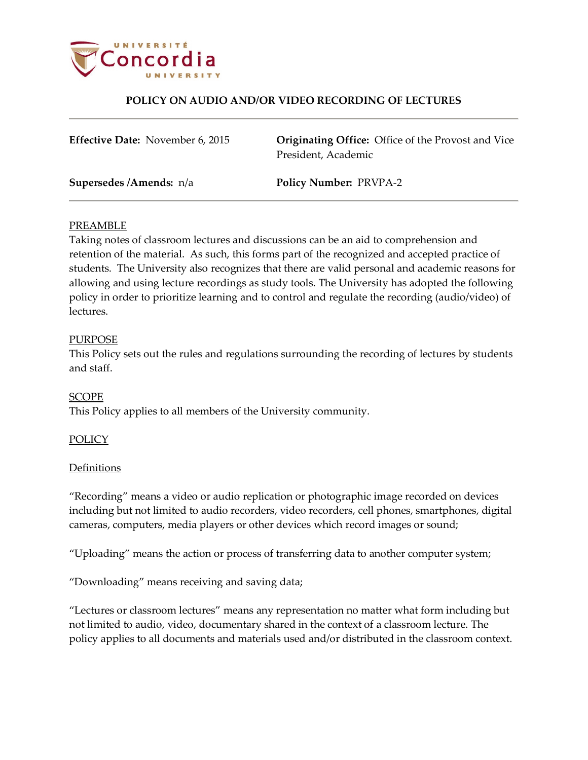

# **POLICY ON AUDIO AND/OR VIDEO RECORDING OF LECTURES**

| <b>Effective Date: November 6, 2015</b> | <b>Originating Office:</b> Office of the Provost and Vice<br>President, Academic |
|-----------------------------------------|----------------------------------------------------------------------------------|
| Supersedes /Amends: n/a                 | <b>Policy Number: PRVPA-2</b>                                                    |

## PREAMBLE

Taking notes of classroom lectures and discussions can be an aid to comprehension and retention of the material. As such, this forms part of the recognized and accepted practice of students. The University also recognizes that there are valid personal and academic reasons for allowing and using lecture recordings as study tools. The University has adopted the following policy in order to prioritize learning and to control and regulate the recording (audio/video) of lectures.

### PURPOSE

This Policy sets out the rules and regulations surrounding the recording of lectures by students and staff.

## SCOPE

This Policy applies to all members of the University community.

## POLICY

#### **Definitions**

"Recording" means a video or audio replication or photographic image recorded on devices including but not limited to audio recorders, video recorders, cell phones, smartphones, digital cameras, computers, media players or other devices which record images or sound;

"Uploading" means the action or process of transferring data to another computer system;

"Downloading" means receiving and saving data;

"Lectures or classroom lectures" means any representation no matter what form including but not limited to audio, video, documentary shared in the context of a classroom lecture. The policy applies to all documents and materials used and/or distributed in the classroom context.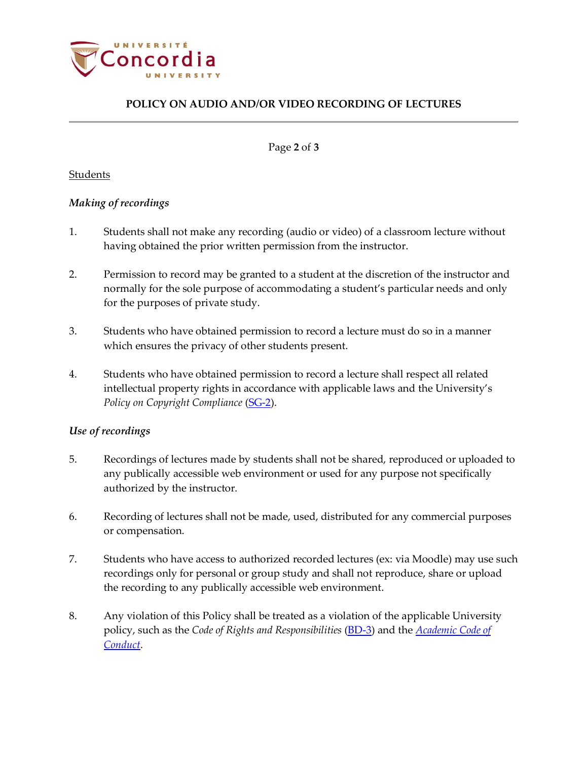

# **POLICY ON AUDIO AND/OR VIDEO RECORDING OF LECTURES**

Page **2** of **3**

# Students

# *Making of recordings*

- 1. Students shall not make any recording (audio or video) of a classroom lecture without having obtained the prior written permission from the instructor.
- 2. Permission to record may be granted to a student at the discretion of the instructor and normally for the sole purpose of accommodating a student's particular needs and only for the purposes of private study.
- 3. Students who have obtained permission to record a lecture must do so in a manner which ensures the privacy of other students present.
- 4. Students who have obtained permission to record a lecture shall respect all related intellectual property rights in accordance with applicable laws and the University's *Policy on Copyright Compliance* [\(SG-2\)](http://www.concordia.ca/content/dam/common/docs/policies/official-policies/SG-2.pdf).

# *Use of recordings*

- 5. Recordings of lectures made by students shall not be shared, reproduced or uploaded to any publically accessible web environment or used for any purpose not specifically authorized by the instructor.
- 6. Recording of lectures shall not be made, used, distributed for any commercial purposes or compensation.
- 7. Students who have access to authorized recorded lectures (ex: via Moodle) may use such recordings only for personal or group study and shall not reproduce, share or upload the recording to any publically accessible web environment.
- 8. Any violation of this Policy shall be treated as a violation of the applicable University policy, such as the *Code of Rights and Responsibilities* [\(BD-3\)](http://www.concordia.ca/content/dam/common/docs/policies/official-policies/BD-3.pdf) and the *[Academic Code of](http://www.concordia.ca/content/dam/common/docs/policies/official-policies/Academic-Code-Conduct-2015.pdf)  [Conduct](http://www.concordia.ca/content/dam/common/docs/policies/official-policies/Academic-Code-Conduct-2015.pdf)*.